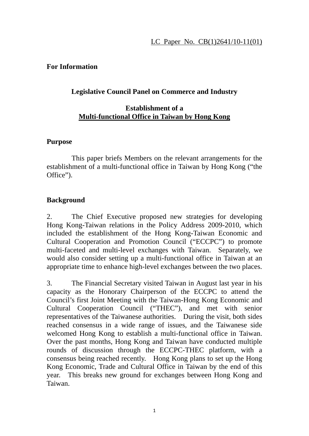#### LC Paper No. CB(1)2641/10-11(01)

#### **For Information**

## **Legislative Council Panel on Commerce and Industry**

## **Establishment of a Multi-functional Office in Taiwan by Hong Kong**

#### **Purpose**

 This paper briefs Members on the relevant arrangements for the establishment of a multi-functional office in Taiwan by Hong Kong ("the Office").

## **Background**

2. The Chief Executive proposed new strategies for developing Hong Kong-Taiwan relations in the Policy Address 2009-2010, which included the establishment of the Hong Kong-Taiwan Economic and Cultural Cooperation and Promotion Council ("ECCPC") to promote multi-faceted and multi-level exchanges with Taiwan. Separately, we would also consider setting up a multi-functional office in Taiwan at an appropriate time to enhance high-level exchanges between the two places.

3. The Financial Secretary visited Taiwan in August last year in his capacity as the Honorary Chairperson of the ECCPC to attend the Council's first Joint Meeting with the Taiwan-Hong Kong Economic and Cultural Cooperation Council ("THEC"), and met with senior representatives of the Taiwanese authorities. During the visit, both sides reached consensus in a wide range of issues, and the Taiwanese side welcomed Hong Kong to establish a multi-functional office in Taiwan. Over the past months, Hong Kong and Taiwan have conducted multiple rounds of discussion through the ECCPC-THEC platform, with a consensus being reached recently. Hong Kong plans to set up the Hong Kong Economic, Trade and Cultural Office in Taiwan by the end of this year. This breaks new ground for exchanges between Hong Kong and Taiwan.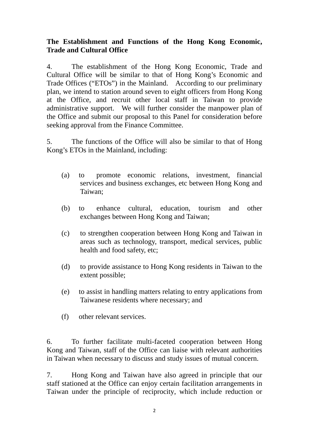# **The Establishment and Functions of the Hong Kong Economic, Trade and Cultural Office**

4. The establishment of the Hong Kong Economic, Trade and Cultural Office will be similar to that of Hong Kong's Economic and Trade Offices ("ETOs") in the Mainland. According to our preliminary plan, we intend to station around seven to eight officers from Hong Kong at the Office, and recruit other local staff in Taiwan to provide administrative support. We will further consider the manpower plan of the Office and submit our proposal to this Panel for consideration before seeking approval from the Finance Committee.

5. The functions of the Office will also be similar to that of Hong Kong's ETOs in the Mainland, including:

- (a) to promote economic relations, investment, financial services and business exchanges, etc between Hong Kong and Taiwan;
- (b) to enhance cultural, education, tourism and other exchanges between Hong Kong and Taiwan;
- (c) to strengthen cooperation between Hong Kong and Taiwan in areas such as technology, transport, medical services, public health and food safety, etc;
- (d) to provide assistance to Hong Kong residents in Taiwan to the extent possible;
- (e) to assist in handling matters relating to entry applications from Taiwanese residents where necessary; and
- (f) other relevant services.

6. To further facilitate multi-faceted cooperation between Hong Kong and Taiwan, staff of the Office can liaise with relevant authorities in Taiwan when necessary to discuss and study issues of mutual concern.

7. Hong Kong and Taiwan have also agreed in principle that our staff stationed at the Office can enjoy certain facilitation arrangements in Taiwan under the principle of reciprocity, which include reduction or